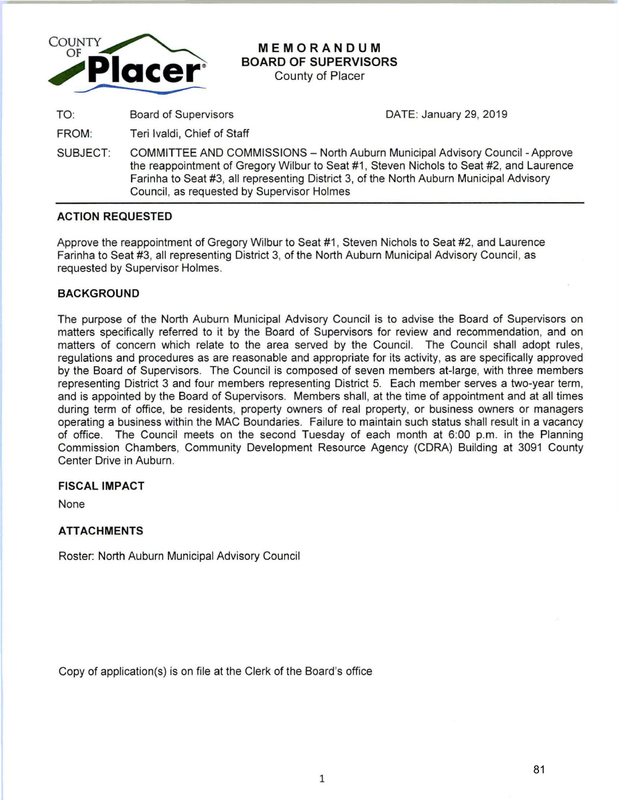

# **MEMORANDUM BOARD OF SUPERVISORS**

County of Placer

TO: Board of Supervisors

DATE: January 29, 2019

FROM: Teri lvaldi, Chief of Staff

SUBJECT: COMMITTEE AND COMMISSIONS - North Auburn Municipal Advisory Council - Approve the reappointment of Gregory Wilbur to Seat #1 , Steven Nichols to Seat #2, and Laurence Farinha to Seat #3, all representing District 3, of the North Auburn Municipal Advisory Council, as requested by Supervisor Holmes

# **ACTION REQUESTED**

Approve the reappointment of Gregory Wilbur to Seat #1 , Steven Nichols to Seat #2, and Laurence Farinha to Seat #3, all representing District 3, of the North Auburn Municipal Advisory Council, as requested by Supervisor Holmes.

# **BACKGROUND**

The purpose of the North Auburn Municipal Advisory Council is to advise the Board of Supervisors on matters specifically referred to it by the Board of Supervisors for review and recommendation, and on matters of concern which relate to the area served by the Council. The Council shall adopt rules, regulations and procedures as are reasonable and appropriate for its activity, as are specifically approved by the Board of Supervisors. The Council is composed of seven members at-large, with three members representing District 3 and four members representing District 5. Each member serves a two-year term, and is appointed by the Board of Supervisors. Members shall, at the time of appointment and at all times during term of office, be residents, property owners of real property, or business owners or managers operating a business within the MAC Boundaries. Failure to maintain such status shall result in a vacancy of office. The Council meets on the second Tuesday of each month at 6:00 p.m. in the Planning Commission Chambers, Community Development Resource Agency (CORA) Building at 3091 County Center Drive in Auburn.

### **FISCAL IMPACT**

None

# **ATTACHMENTS**

Roster: North Auburn Municipal Advisory Council

Copy of application(s) is on file at the Clerk of the Board's office